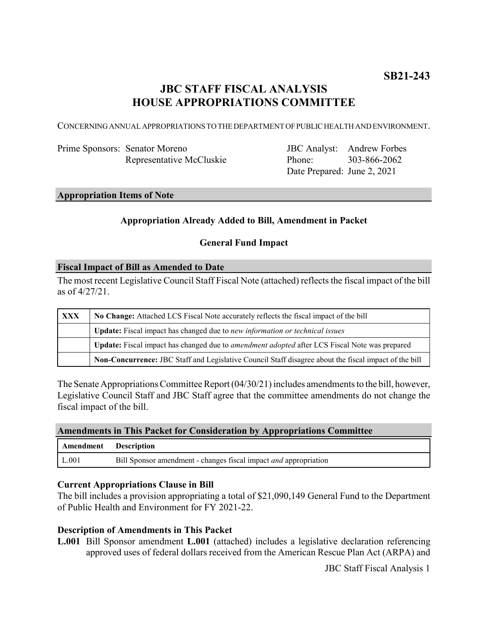# **JBC STAFF FISCAL ANALYSIS HOUSE APPROPRIATIONS COMMITTEE**

CONCERNING ANNUAL APPROPRIATIONS TO THE DEPARTMENT OF PUBLIC HEALTH AND ENVIRONMENT.

| Prime Sponsors: Senator Moreno |
|--------------------------------|
| Representative McCluskie       |

JBC Analyst: Andrew Forbes Phone: Date Prepared: June 2, 2021 303-866-2062

# **Appropriation Items of Note**

### **Appropriation Already Added to Bill, Amendment in Packet**

### **General Fund Impact**

#### **Fiscal Impact of Bill as Amended to Date**

The most recent Legislative Council Staff Fiscal Note (attached) reflects the fiscal impact of the bill as of 4/27/21.

| <b>XXX</b> | No Change: Attached LCS Fiscal Note accurately reflects the fiscal impact of the bill                       |  |
|------------|-------------------------------------------------------------------------------------------------------------|--|
|            | Update: Fiscal impact has changed due to new information or technical issues                                |  |
|            | <b>Update:</b> Fiscal impact has changed due to <i>amendment adopted</i> after LCS Fiscal Note was prepared |  |
|            | Non-Concurrence: JBC Staff and Legislative Council Staff disagree about the fiscal impact of the bill       |  |

The Senate Appropriations Committee Report (04/30/21) includes amendments to the bill, however, Legislative Council Staff and JBC Staff agree that the committee amendments do not change the fiscal impact of the bill.

#### **Amendments in This Packet for Consideration by Appropriations Committee**

| Amendment Description |                                                                         |
|-----------------------|-------------------------------------------------------------------------|
| L.001                 | Bill Sponsor amendment - changes fiscal impact <i>and</i> appropriation |

#### **Current Appropriations Clause in Bill**

The bill includes a provision appropriating a total of \$21,090,149 General Fund to the Department of Public Health and Environment for FY 2021-22.

### **Description of Amendments in This Packet**

**L.001** Bill Sponsor amendment **L.001** (attached) includes a legislative declaration referencing approved uses of federal dollars received from the American Rescue Plan Act (ARPA) and

JBC Staff Fiscal Analysis 1